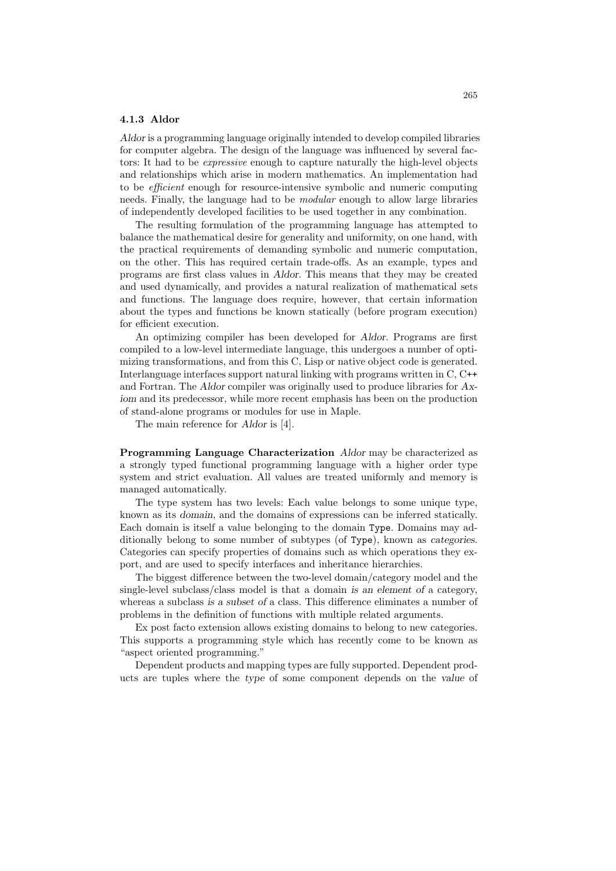## 4.1.3 Aldor

Aldor is a programming language originally intended to develop compiled libraries for computer algebra. The design of the language was influenced by several factors: It had to be expressive enough to capture naturally the high-level objects and relationships which arise in modern mathematics. An implementation had to be efficient enough for resource-intensive symbolic and numeric computing needs. Finally, the language had to be modular enough to allow large libraries of independently developed facilities to be used together in any combination.

The resulting formulation of the programming language has attempted to balance the mathematical desire for generality and uniformity, on one hand, with the practical requirements of demanding symbolic and numeric computation, on the other. This has required certain trade-offs. As an example, types and programs are first class values in Aldor. This means that they may be created and used dynamically, and provides a natural realization of mathematical sets and functions. The language does require, however, that certain information about the types and functions be known statically (before program execution) for efficient execution.

An optimizing compiler has been developed for Aldor. Programs are first compiled to a low-level intermediate language, this undergoes a number of optimizing transformations, and from this C, Lisp or native object code is generated. Interlanguage interfaces support natural linking with programs written in C, C++ and Fortran. The Aldor compiler was originally used to produce libraries for Axiom and its predecessor, while more recent emphasis has been on the production of stand-alone programs or modules for use in Maple.

The main reference for Aldor is [4].

Programming Language Characterization Aldor may be characterized as a strongly typed functional programming language with a higher order type system and strict evaluation. All values are treated uniformly and memory is managed automatically.

The type system has two levels: Each value belongs to some unique type, known as its domain, and the domains of expressions can be inferred statically. Each domain is itself a value belonging to the domain Type. Domains may additionally belong to some number of subtypes (of Type), known as categories. Categories can specify properties of domains such as which operations they export, and are used to specify interfaces and inheritance hierarchies.

The biggest difference between the two-level domain/category model and the single-level subclass/class model is that a domain is an element of a category, whereas a subclass is a subset of a class. This difference eliminates a number of problems in the definition of functions with multiple related arguments.

Ex post facto extension allows existing domains to belong to new categories. This supports a programming style which has recently come to be known as "aspect oriented programming."

Dependent products and mapping types are fully supported. Dependent products are tuples where the type of some component depends on the value of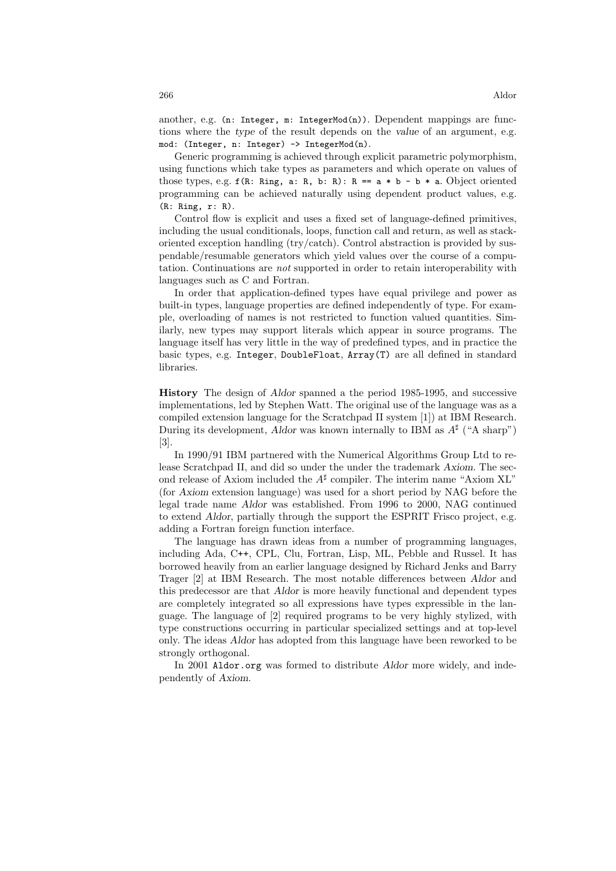another, e.g. (n: Integer,  $m$ : IntegerMod(n)). Dependent mappings are functions where the type of the result depends on the value of an argument, e.g. mod: (Integer, n: Integer) -> IntegerMod(n).

Generic programming is achieved through explicit parametric polymorphism, using functions which take types as parameters and which operate on values of those types, e.g.  $f(R: Ring, a: R, b: R): R == a * b - b * a$ . Object oriented programming can be achieved naturally using dependent product values, e.g. (R: Ring, r: R).

Control flow is explicit and uses a fixed set of language-defined primitives, including the usual conditionals, loops, function call and return, as well as stackoriented exception handling (try/catch). Control abstraction is provided by suspendable/resumable generators which yield values over the course of a computation. Continuations are not supported in order to retain interoperability with languages such as C and Fortran.

In order that application-defined types have equal privilege and power as built-in types, language properties are defined independently of type. For example, overloading of names is not restricted to function valued quantities. Similarly, new types may support literals which appear in source programs. The language itself has very little in the way of predefined types, and in practice the basic types, e.g. Integer, DoubleFloat, Array(T) are all defined in standard libraries.

History The design of Aldor spanned a the period 1985-1995, and successive implementations, led by Stephen Watt. The original use of the language was as a compiled extension language for the Scratchpad II system [1]) at IBM Research. During its development, Aldor was known internally to IBM as  $A^{\sharp}$  ("A sharp") [3].

In 1990/91 IBM partnered with the Numerical Algorithms Group Ltd to release Scratchpad II, and did so under the under the trademark Axiom. The second release of Axiom included the  $A^{\sharp}$  compiler. The interim name "Axiom XL" (for Axiom extension language) was used for a short period by NAG before the legal trade name Aldor was established. From 1996 to 2000, NAG continued to extend Aldor, partially through the support the ESPRIT Frisco project, e.g. adding a Fortran foreign function interface.

The language has drawn ideas from a number of programming languages, including Ada, C++, CPL, Clu, Fortran, Lisp, ML, Pebble and Russel. It has borrowed heavily from an earlier language designed by Richard Jenks and Barry Trager [2] at IBM Research. The most notable differences between Aldor and this predecessor are that Aldor is more heavily functional and dependent types are completely integrated so all expressions have types expressible in the language. The language of [2] required programs to be very highly stylized, with type constructions occurring in particular specialized settings and at top-level only. The ideas Aldor has adopted from this language have been reworked to be strongly orthogonal.

In 2001 Aldor.org was formed to distribute Aldor more widely, and independently of Axiom.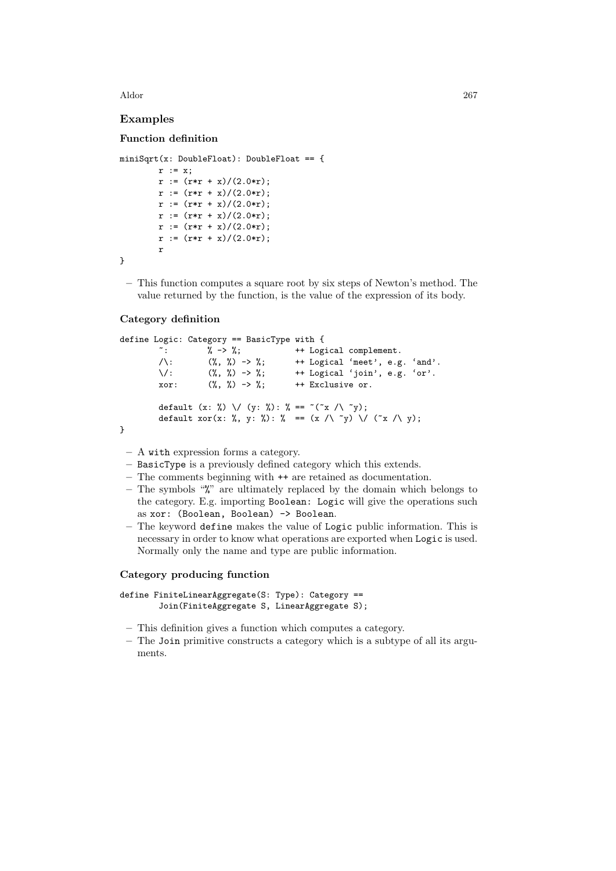Aldor 267

# Examples

### Function definition

```
miniSqrt(x: DoubleFloat): DoubleFloat == {
       r := x;r := (r*r + x)/(2.0*r);r := (r*r + x)/(2.0*r);r := (r*r + x)/(2.0*r);r := (r*r + x)/(2.0*r);r := (r*r + x)/(2.0*r);r := (r*r + x)/(2.0*r);r
}
```
– This function computes a square root by six steps of Newton's method. The value returned by the function, is the value of the expression of its body.

#### Category definition

```
define Logic: Category == BasicType with {
        ~: % -> %; ++ Logical complement.
        \wedge: (\%, \%) \rightarrow \%; ++ Logical 'meet', e.g. 'and'.
        \/: (%, %) -> %; ++ Logical 'join', e.g. 'or'.
        xor: (\%, \%) \rightarrow \%; \quad + Exclusive or.
        default (x: %) \/ (y: %): % == ~(~x /\ ~y);
        default \text{xor}(x: %, y: %): % = (x / \sqrt{y}) / (\sqrt{x / \sqrt{y}});}
```
- A with expression forms a category.
- BasicType is a previously defined category which this extends.
- The comments beginning with ++ are retained as documentation.
- The symbols "%" are ultimately replaced by the domain which belongs to the category. E.g. importing Boolean: Logic will give the operations such as xor: (Boolean, Boolean) -> Boolean.
- The keyword define makes the value of Logic public information. This is necessary in order to know what operations are exported when Logic is used. Normally only the name and type are public information.

#### Category producing function

```
define FiniteLinearAggregate(S: Type): Category ==
        Join(FiniteAggregate S, LinearAggregate S);
```
- This definition gives a function which computes a category.
- The Join primitive constructs a category which is a subtype of all its arguments.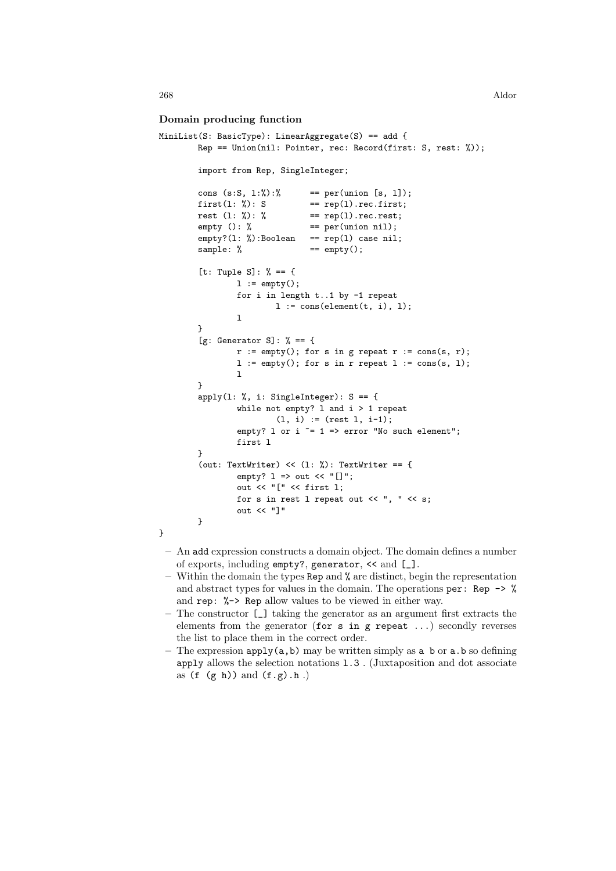### Domain producing function

```
MiniList(S: BasicType): LinearAggregate(S) == add {
        Rep == Union(nil: Pointer, rec: Record(first: S, rest: %));
        import from Rep, SingleInteger;
        cons (s:S, 1:\%) : == per(union [s, 1]);
        first(1: %): S == rep(1).rec.first;
        rest (1: %): % == rep(1).rec.rest;empty (): % == per(union nil);
        empty?(1: %):Boolean == rep(1) case nil;
        sample: % \qquad \qquad == \, empty();
        [t: Tuple S]: % == {
                l := empty();
                for i in length t..1 by -1 repeat
                        l := \text{cons}(\text{element}(t, i), 1);l
        }
        [g: Generator S]: \% == \{r := \text{empty}(); for s in g repeat r := \text{cons}(s, r);
                l := empty(); for s in r repeat l := const(s, 1);
                l
        }
        apply(1: %, i: SingleInteger): S == {while not empty? l and i > 1 repeat
                        (1, i) := (rest 1, i-1);empty? 1 or i = 1 => error "No such element";
                first l
        }
        (out: TextWriter) << (1: %): TextWriter == {
                empty? l => out << "[]";
                out << "[" << first l;
                for s in rest l repeat out << ", " << s;
                out << "]"
        }
}
```
- An add expression constructs a domain object. The domain defines a number of exports, including empty?, generator, << and [\_].
- $-$  Within the domain the types Rep and  $\%$  are distinct, begin the representation and abstract types for values in the domain. The operations per: Rep  $\rightarrow$  % and rep: %-> Rep allow values to be viewed in either way.
- The constructor [\_] taking the generator as an argument first extracts the elements from the generator (for  $s$  in  $g$  repeat ...) secondly reverses the list to place them in the correct order.
- The expression apply(a,b) may be written simply as a b or a.b so defining apply allows the selection notations l.3 . (Juxtaposition and dot associate as  $(f (g h))$  and  $(f g) . h .$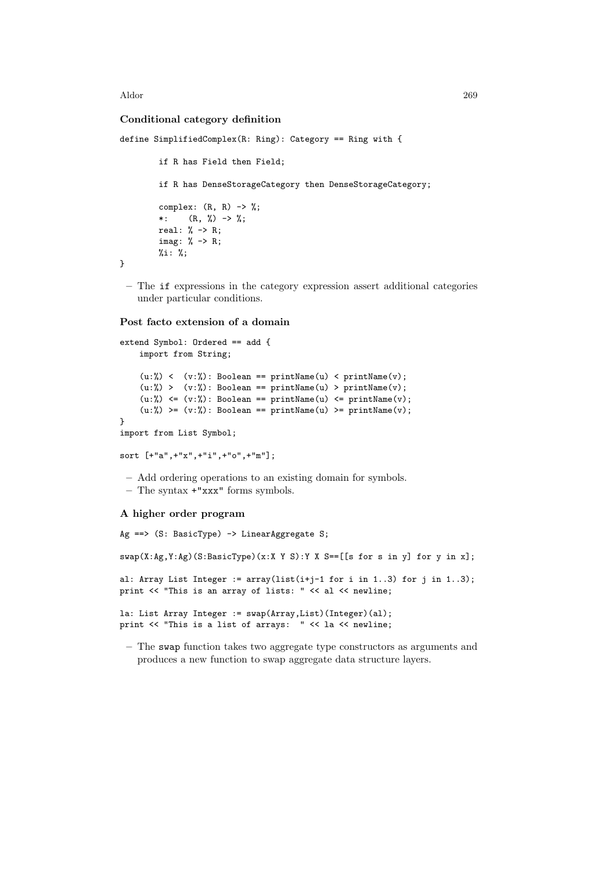Aldor 269

## Conditional category definition

```
define SimplifiedComplex(R: Ring): Category == Ring with {
          if R has Field then Field;
          if R has DenseStorageCategory then DenseStorageCategory;
          complex: (R, R) \rightarrow %;*: (R, \frac{\%}{\%}) \rightarrow \frac{\%}{\%};real: % \rightarrow R;
          imag: % -> R;
          \%i: \%;
}
```
– The if expressions in the category expression assert additional categories under particular conditions.

#### Post facto extension of a domain

```
extend Symbol: Ordered == add {
    import from String;
    (u:%) < (v:%): Boolean == printName(u) < printName(v);
    (u:\%) > (v:\%): Boolean == printName(u) > printName(v);
    (u: %) \leq (v: %): Boolean == printName(u) <= printName(v);
    (u:\%) >= (v:\%): Boolean == printName(u) >= printName(v);
}
import from List Symbol;
```
sort [+"a",+"x",+"i",+"o",+"m"];

– Add ordering operations to an existing domain for symbols. – The syntax +"xxx" forms symbols.

# A higher order program

```
Ag ==> (S: BasicType) -> LinearAggregate S;
swap(X:Ag,Y:Ag)(S:BasicType)(x:X Y S):Y X S==[[s for s in y] for y in x];
al: Array List Integer := array(list(i+j-1 for i in 1..3) for j in 1..3);
print << "This is an array of lists: " << al << newline;
la: List Array Integer := swap(Array,List)(Integer)(al);
print << "This is a list of arrays: " << la << newline;
```
– The swap function takes two aggregate type constructors as arguments and produces a new function to swap aggregate data structure layers.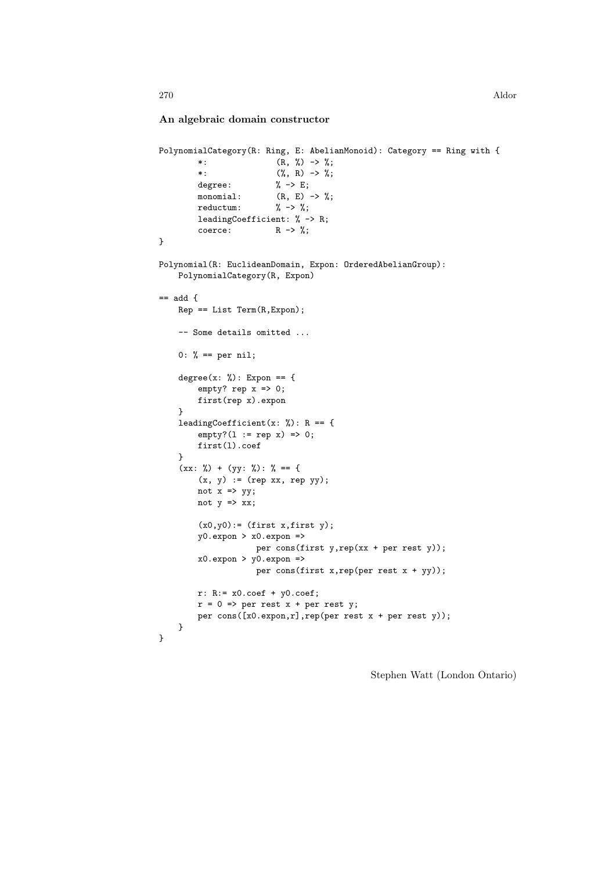## An algebraic domain constructor

```
PolynomialCategory(R: Ring, E: AbelianMonoid): Category == Ring with {
         *: (R, \%) \rightarrow \%;*: (\%, R) \rightarrow \%;
         degree: % -> E;
         monomial: (R, E) \rightarrow \frac{\gamma}{\delta};<br>reductum: \frac{\gamma}{\delta} \rightarrow \frac{\gamma}{\delta};
         reduction:leadingCoefficient: % -> R;
         coerce: R \rightarrow \%;
}
Polynomial(R: EuclideanDomain, Expon: OrderedAbelianGroup):
    PolynomialCategory(R, Expon)
== add {
    Rep == List Term(R,Expon);
    -- Some details omitted ...
    0: % == per nil;degree(x: %): Expon == {
         empty? rep x \Rightarrow 0;
         first(rep x).expon
    }
    leadingCoefficient(x: \%): R == {
         empty?(1 := rep x) => 0;
         first(l).coef
    }
    (xx: %) + (yy: %): % == {
         (x, y) := (rep xx, rep yy);not x \Rightarrow yy;not y \Rightarrow xx;(x0,y0): (first x, first y);
         y0.expon > x0.expon =>
                      per cons(first y,rep(xx + per rest y));
         x0.expon > y0.expon =>
                      per cons(first x,rep(per rest x + yy));
         r: R:= x0.coef + y0.coef;r = 0 \Rightarrow per rest x + per rest y;per cons([x0.expon,r],rep(per rest x + per rest y));
    }
}
```
Stephen Watt (London Ontario)